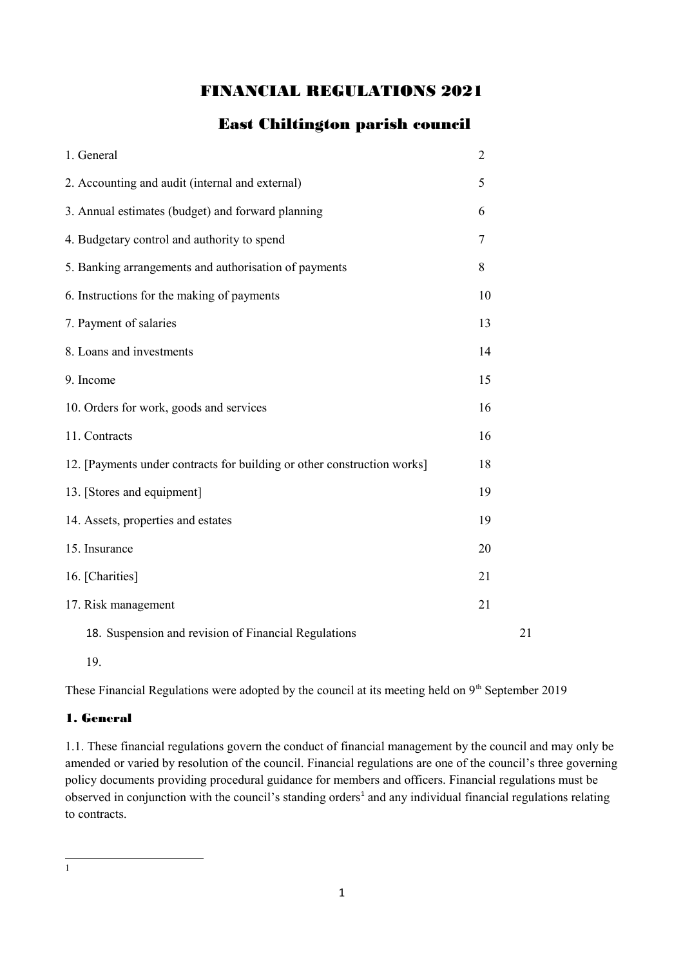# FINANCIAL REGULATIONS 2021

# East Chiltington parish council

| 1. General                                                              | $\overline{2}$ |    |
|-------------------------------------------------------------------------|----------------|----|
| 2. Accounting and audit (internal and external)                         | 5              |    |
| 3. Annual estimates (budget) and forward planning                       | 6              |    |
| 4. Budgetary control and authority to spend                             | 7              |    |
| 5. Banking arrangements and authorisation of payments                   | 8              |    |
| 6. Instructions for the making of payments                              | 10             |    |
| 7. Payment of salaries                                                  | 13             |    |
| 8. Loans and investments                                                | 14             |    |
| 9. Income                                                               | 15             |    |
| 10. Orders for work, goods and services                                 | 16             |    |
| 11. Contracts                                                           | 16             |    |
| 12. [Payments under contracts for building or other construction works] | 18             |    |
| 13. [Stores and equipment]                                              | 19             |    |
| 14. Assets, properties and estates                                      | 19             |    |
| 15. Insurance                                                           | 20             |    |
| 16. [Charities]                                                         | 21             |    |
| 17. Risk management                                                     | 21             |    |
| 18. Suspension and revision of Financial Regulations                    |                | 21 |

19.

These Financial Regulations were adopted by the council at its meeting held on 9<sup>th</sup> September 2019

#### 1. General

1.1. These financial regulations govern the conduct of financial management by the council and may only be amended or varied by resolution of the council. Financial regulations are one of the council's three governing policy documents providing procedural guidance for members and officers. Financial regulations must be observed in conjunction with the council's standing orders<sup>[1](#page-0-0)</sup> and any individual financial regulations relating to contracts.

<span id="page-0-0"></span>1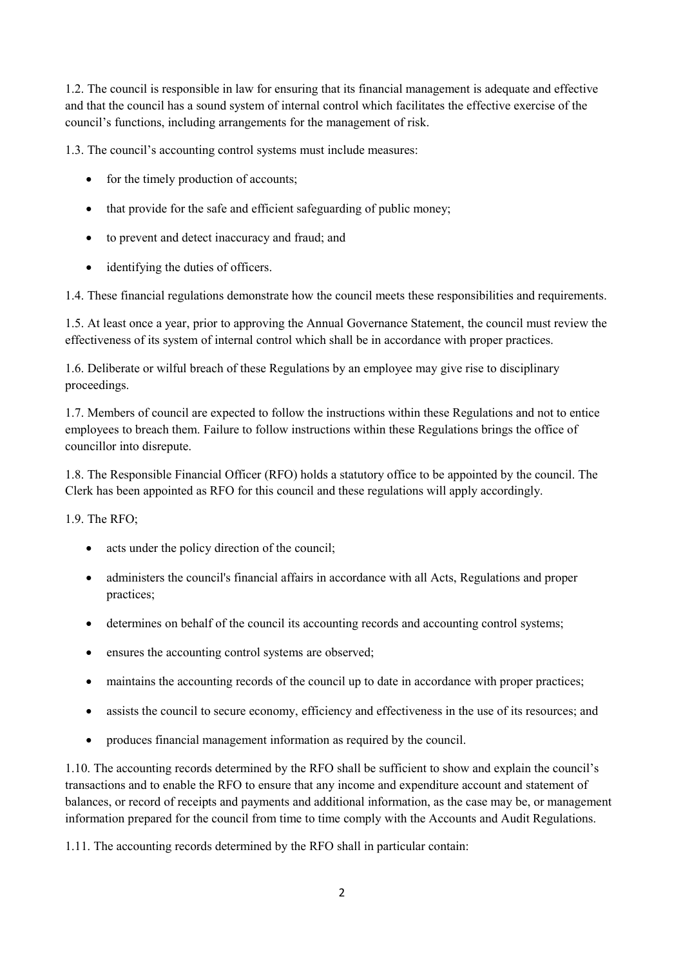1.2. The council is responsible in law for ensuring that its financial management is adequate and effective and that the council has a sound system of internal control which facilitates the effective exercise of the council's functions, including arrangements for the management of risk.

1.3. The council's accounting control systems must include measures:

- for the timely production of accounts;
- that provide for the safe and efficient safeguarding of public money;
- to prevent and detect inaccuracy and fraud; and
- identifying the duties of officers.

1.4. These financial regulations demonstrate how the council meets these responsibilities and requirements.

1.5. At least once a year, prior to approving the Annual Governance Statement, the council must review the effectiveness of its system of internal control which shall be in accordance with proper practices.

1.6. Deliberate or wilful breach of these Regulations by an employee may give rise to disciplinary proceedings.

1.7. Members of council are expected to follow the instructions within these Regulations and not to entice employees to breach them. Failure to follow instructions within these Regulations brings the office of councillor into disrepute.

1.8. The Responsible Financial Officer (RFO) holds a statutory office to be appointed by the council. The Clerk has been appointed as RFO for this council and these regulations will apply accordingly.

1.9. The RFO;

- acts under the policy direction of the council;
- administers the council's financial affairs in accordance with all Acts, Regulations and proper practices;
- determines on behalf of the council its accounting records and accounting control systems;
- ensures the accounting control systems are observed;
- maintains the accounting records of the council up to date in accordance with proper practices;
- assists the council to secure economy, efficiency and effectiveness in the use of its resources; and
- produces financial management information as required by the council.

1.10. The accounting records determined by the RFO shall be sufficient to show and explain the council's transactions and to enable the RFO to ensure that any income and expenditure account and statement of balances, or record of receipts and payments and additional information, as the case may be, or management information prepared for the council from time to time comply with the Accounts and Audit Regulations.

1.11. The accounting records determined by the RFO shall in particular contain: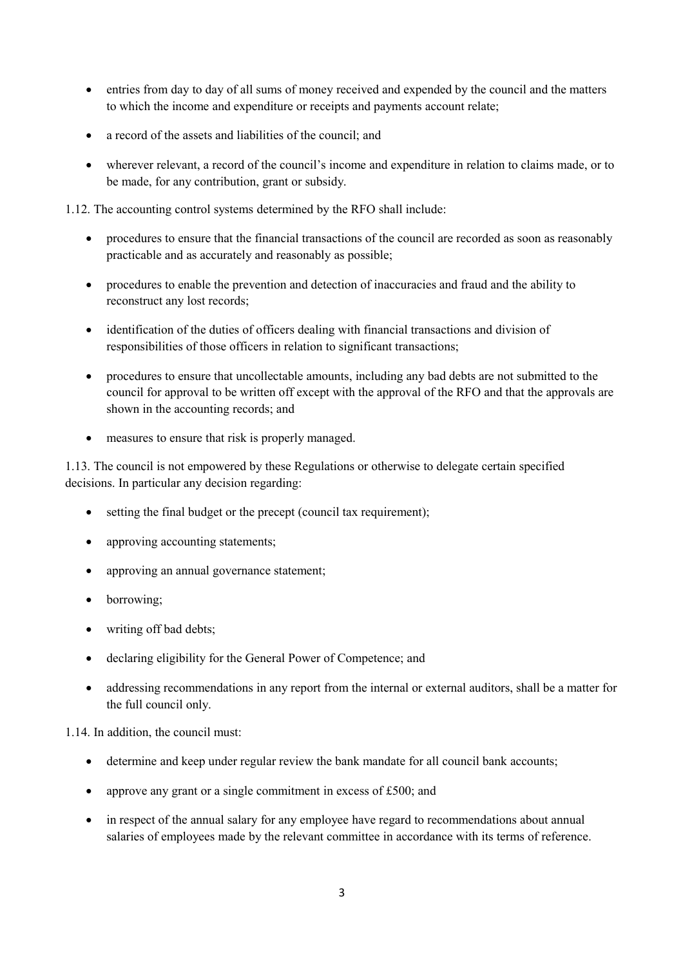- entries from day to day of all sums of money received and expended by the council and the matters to which the income and expenditure or receipts and payments account relate;
- a record of the assets and liabilities of the council; and
- wherever relevant, a record of the council's income and expenditure in relation to claims made, or to be made, for any contribution, grant or subsidy.

1.12. The accounting control systems determined by the RFO shall include:

- procedures to ensure that the financial transactions of the council are recorded as soon as reasonably practicable and as accurately and reasonably as possible;
- procedures to enable the prevention and detection of inaccuracies and fraud and the ability to reconstruct any lost records;
- identification of the duties of officers dealing with financial transactions and division of responsibilities of those officers in relation to significant transactions;
- procedures to ensure that uncollectable amounts, including any bad debts are not submitted to the council for approval to be written off except with the approval of the RFO and that the approvals are shown in the accounting records; and
- measures to ensure that risk is properly managed.

1.13. The council is not empowered by these Regulations or otherwise to delegate certain specified decisions. In particular any decision regarding:

- setting the final budget or the precept (council tax requirement);
- approving accounting statements;
- approving an annual governance statement;
- borrowing;
- writing off bad debts;
- declaring eligibility for the General Power of Competence; and
- addressing recommendations in any report from the internal or external auditors, shall be a matter for the full council only.

1.14. In addition, the council must:

- determine and keep under regular review the bank mandate for all council bank accounts;
- approve any grant or a single commitment in excess of  $£500$ ; and
- in respect of the annual salary for any employee have regard to recommendations about annual salaries of employees made by the relevant committee in accordance with its terms of reference.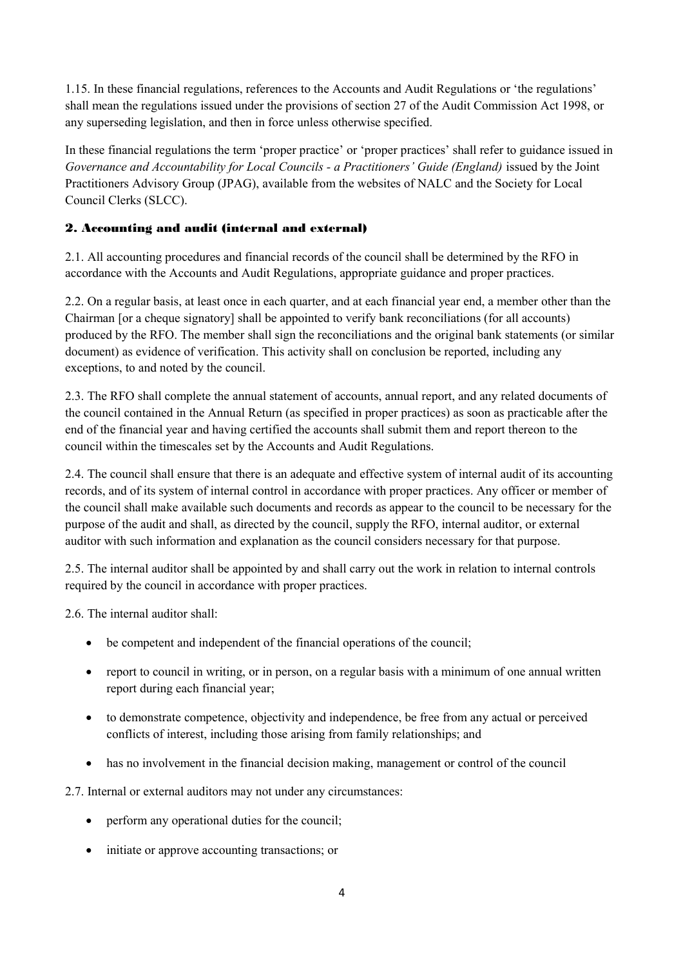1.15. In these financial regulations, references to the Accounts and Audit Regulations or 'the regulations' shall mean the regulations issued under the provisions of section 27 of the Audit Commission Act 1998, or any superseding legislation, and then in force unless otherwise specified.

In these financial regulations the term 'proper practice' or 'proper practices' shall refer to guidance issued in *Governance and Accountability for Local Councils - a Practitioners' Guide (England)* issued by the Joint Practitioners Advisory Group (JPAG), available from the websites of NALC and the Society for Local Council Clerks (SLCC).

## 2. Accounting and audit (internal and external)

2.1. All accounting procedures and financial records of the council shall be determined by the RFO in accordance with the Accounts and Audit Regulations, appropriate guidance and proper practices.

2.2. On a regular basis, at least once in each quarter, and at each financial year end, a member other than the Chairman [or a cheque signatory] shall be appointed to verify bank reconciliations (for all accounts) produced by the RFO. The member shall sign the reconciliations and the original bank statements (or similar document) as evidence of verification. This activity shall on conclusion be reported, including any exceptions, to and noted by the council.

2.3. The RFO shall complete the annual statement of accounts, annual report, and any related documents of the council contained in the Annual Return (as specified in proper practices) as soon as practicable after the end of the financial year and having certified the accounts shall submit them and report thereon to the council within the timescales set by the Accounts and Audit Regulations.

2.4. The council shall ensure that there is an adequate and effective system of internal audit of its accounting records, and of its system of internal control in accordance with proper practices. Any officer or member of the council shall make available such documents and records as appear to the council to be necessary for the purpose of the audit and shall, as directed by the council, supply the RFO, internal auditor, or external auditor with such information and explanation as the council considers necessary for that purpose.

2.5. The internal auditor shall be appointed by and shall carry out the work in relation to internal controls required by the council in accordance with proper practices.

2.6. The internal auditor shall:

- be competent and independent of the financial operations of the council;
- report to council in writing, or in person, on a regular basis with a minimum of one annual written report during each financial year;
- to demonstrate competence, objectivity and independence, be free from any actual or perceived conflicts of interest, including those arising from family relationships; and
- has no involvement in the financial decision making, management or control of the council

2.7. Internal or external auditors may not under any circumstances:

- perform any operational duties for the council;
- initiate or approve accounting transactions; or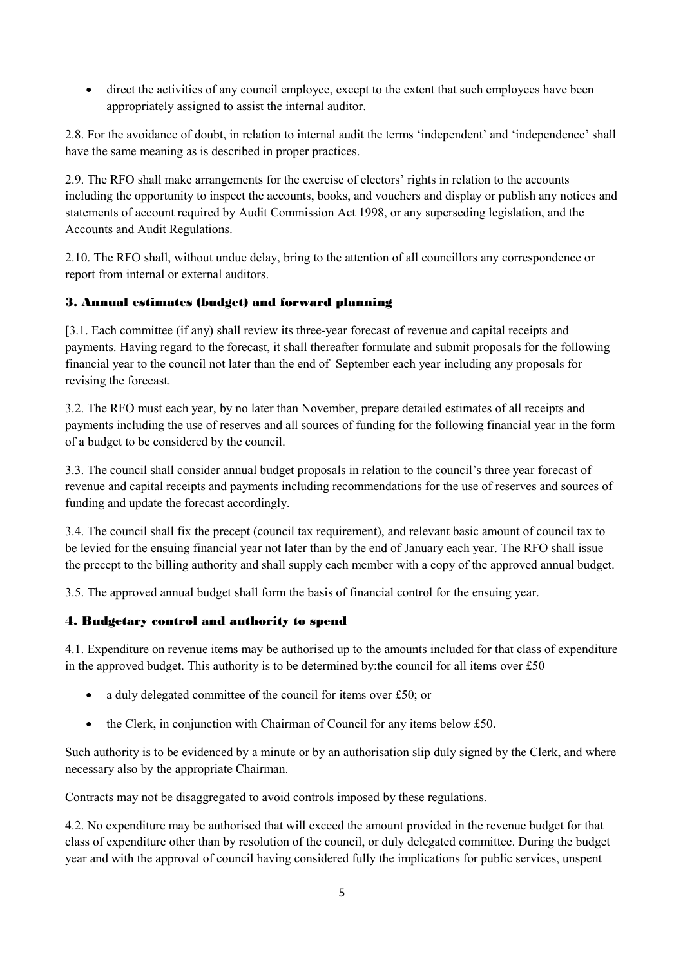direct the activities of any council employee, except to the extent that such employees have been appropriately assigned to assist the internal auditor.

2.8. For the avoidance of doubt, in relation to internal audit the terms 'independent' and 'independence' shall have the same meaning as is described in proper practices.

2.9. The RFO shall make arrangements for the exercise of electors' rights in relation to the accounts including the opportunity to inspect the accounts, books, and vouchers and display or publish any notices and statements of account required by Audit Commission Act 1998, or any superseding legislation, and the Accounts and Audit Regulations.

2.10. The RFO shall, without undue delay, bring to the attention of all councillors any correspondence or report from internal or external auditors.

### 3. Annual estimates (budget) and forward planning

[3.1. Each committee (if any) shall review its three-year forecast of revenue and capital receipts and payments. Having regard to the forecast, it shall thereafter formulate and submit proposals for the following financial year to the council not later than the end of September each year including any proposals for revising the forecast.

3.2. The RFO must each year, by no later than November, prepare detailed estimates of all receipts and payments including the use of reserves and all sources of funding for the following financial year in the form of a budget to be considered by the council.

3.3. The council shall consider annual budget proposals in relation to the council's three year forecast of revenue and capital receipts and payments including recommendations for the use of reserves and sources of funding and update the forecast accordingly.

3.4. The council shall fix the precept (council tax requirement), and relevant basic amount of council tax to be levied for the ensuing financial year not later than by the end of January each year. The RFO shall issue the precept to the billing authority and shall supply each member with a copy of the approved annual budget.

3.5. The approved annual budget shall form the basis of financial control for the ensuing year.

#### 4. Budgetary control and authority to spend

4.1. Expenditure on revenue items may be authorised up to the amounts included for that class of expenditure in the approved budget. This authority is to be determined by: the council for all items over  $£50$ 

- a duly delegated committee of the council for items over £50; or
- the Clerk, in conjunction with Chairman of Council for any items below £50.

Such authority is to be evidenced by a minute or by an authorisation slip duly signed by the Clerk, and where necessary also by the appropriate Chairman.

Contracts may not be disaggregated to avoid controls imposed by these regulations.

4.2. No expenditure may be authorised that will exceed the amount provided in the revenue budget for that class of expenditure other than by resolution of the council, or duly delegated committee. During the budget year and with the approval of council having considered fully the implications for public services, unspent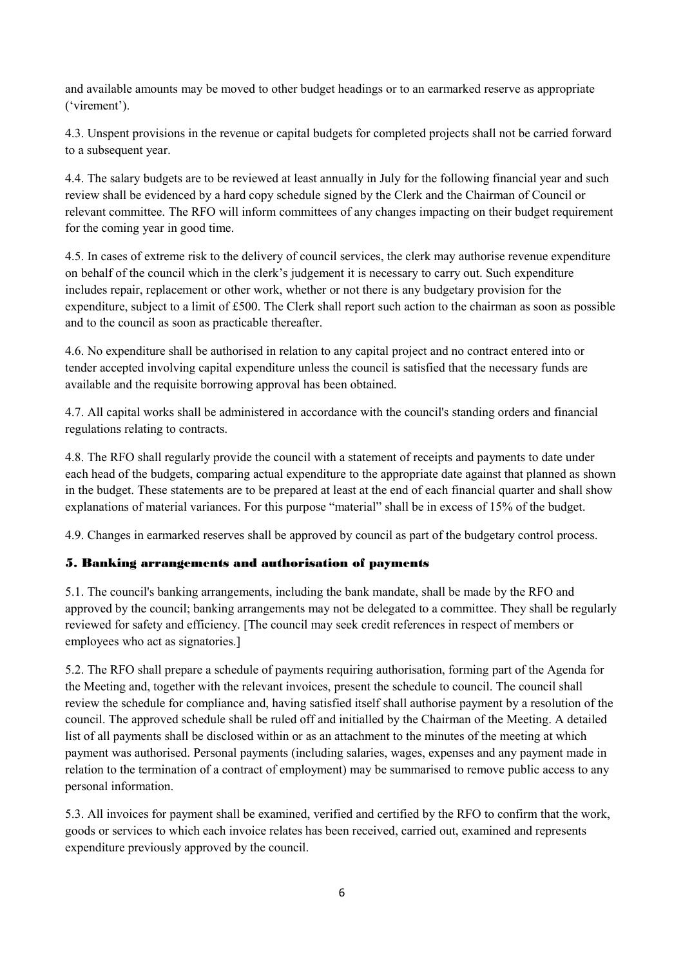and available amounts may be moved to other budget headings or to an earmarked reserve as appropriate ('virement').

4.3. Unspent provisions in the revenue or capital budgets for completed projects shall not be carried forward to a subsequent year.

4.4. The salary budgets are to be reviewed at least annually in July for the following financial year and such review shall be evidenced by a hard copy schedule signed by the Clerk and the Chairman of Council or relevant committee. The RFO will inform committees of any changes impacting on their budget requirement for the coming year in good time.

4.5. In cases of extreme risk to the delivery of council services, the clerk may authorise revenue expenditure on behalf of the council which in the clerk's judgement it is necessary to carry out. Such expenditure includes repair, replacement or other work, whether or not there is any budgetary provision for the expenditure, subject to a limit of £500. The Clerk shall report such action to the chairman as soon as possible and to the council as soon as practicable thereafter.

4.6. No expenditure shall be authorised in relation to any capital project and no contract entered into or tender accepted involving capital expenditure unless the council is satisfied that the necessary funds are available and the requisite borrowing approval has been obtained.

4.7. All capital works shall be administered in accordance with the council's standing orders and financial regulations relating to contracts.

4.8. The RFO shall regularly provide the council with a statement of receipts and payments to date under each head of the budgets, comparing actual expenditure to the appropriate date against that planned as shown in the budget. These statements are to be prepared at least at the end of each financial quarter and shall show explanations of material variances. For this purpose "material" shall be in excess of 15% of the budget.

4.9. Changes in earmarked reserves shall be approved by council as part of the budgetary control process.

### 5. Banking arrangements and authorisation of payments

5.1. The council's banking arrangements, including the bank mandate, shall be made by the RFO and approved by the council; banking arrangements may not be delegated to a committee. They shall be regularly reviewed for safety and efficiency. [The council may seek credit references in respect of members or employees who act as signatories.]

5.2. The RFO shall prepare a schedule of payments requiring authorisation, forming part of the Agenda for the Meeting and, together with the relevant invoices, present the schedule to council. The council shall review the schedule for compliance and, having satisfied itself shall authorise payment by a resolution of the council. The approved schedule shall be ruled off and initialled by the Chairman of the Meeting. A detailed list of all payments shall be disclosed within or as an attachment to the minutes of the meeting at which payment was authorised. Personal payments (including salaries, wages, expenses and any payment made in relation to the termination of a contract of employment) may be summarised to remove public access to any personal information.

5.3. All invoices for payment shall be examined, verified and certified by the RFO to confirm that the work, goods or services to which each invoice relates has been received, carried out, examined and represents expenditure previously approved by the council.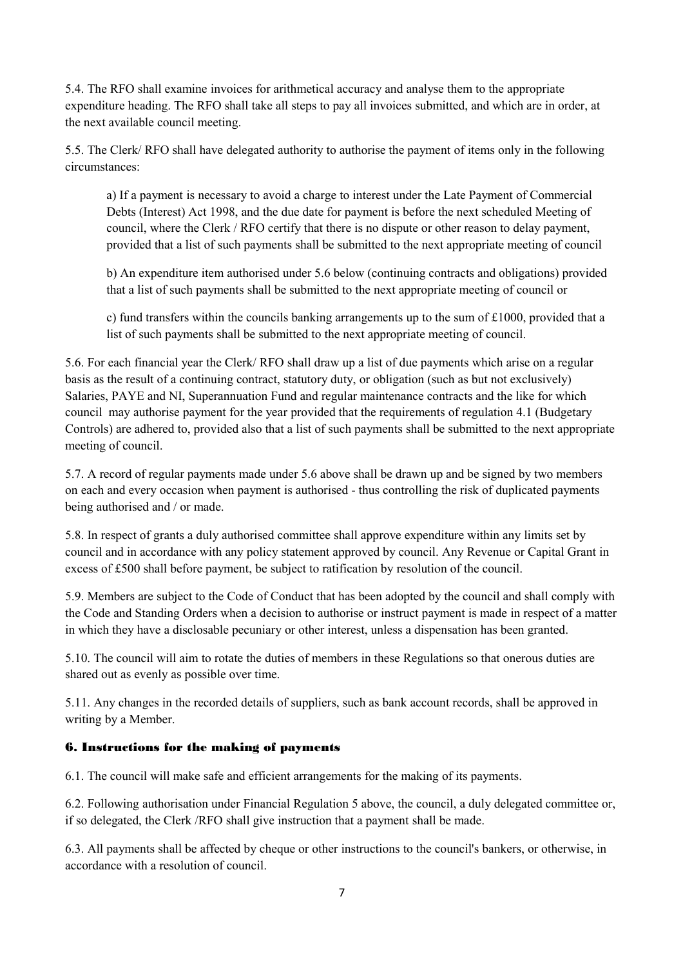5.4. The RFO shall examine invoices for arithmetical accuracy and analyse them to the appropriate expenditure heading. The RFO shall take all steps to pay all invoices submitted, and which are in order, at the next available council meeting.

5.5. The Clerk/ RFO shall have delegated authority to authorise the payment of items only in the following circumstances:

a) If a payment is necessary to avoid a charge to interest under the Late Payment of Commercial Debts (Interest) Act 1998, and the due date for payment is before the next scheduled Meeting of council, where the Clerk / RFO certify that there is no dispute or other reason to delay payment, provided that a list of such payments shall be submitted to the next appropriate meeting of council

b) An expenditure item authorised under 5.6 below (continuing contracts and obligations) provided that a list of such payments shall be submitted to the next appropriate meeting of council or

c) fund transfers within the councils banking arrangements up to the sum of  $\text{\pounds}1000$ , provided that a list of such payments shall be submitted to the next appropriate meeting of council.

5.6. For each financial year the Clerk/ RFO shall draw up a list of due payments which arise on a regular basis as the result of a continuing contract, statutory duty, or obligation (such as but not exclusively) Salaries, PAYE and NI, Superannuation Fund and regular maintenance contracts and the like for which council may authorise payment for the year provided that the requirements of regulation 4.1 (Budgetary Controls) are adhered to, provided also that a list of such payments shall be submitted to the next appropriate meeting of council.

5.7. A record of regular payments made under 5.6 above shall be drawn up and be signed by two members on each and every occasion when payment is authorised - thus controlling the risk of duplicated payments being authorised and / or made.

5.8. In respect of grants a duly authorised committee shall approve expenditure within any limits set by council and in accordance with any policy statement approved by council. Any Revenue or Capital Grant in excess of £500 shall before payment, be subject to ratification by resolution of the council.

5.9. Members are subject to the Code of Conduct that has been adopted by the council and shall comply with the Code and Standing Orders when a decision to authorise or instruct payment is made in respect of a matter in which they have a disclosable pecuniary or other interest, unless a dispensation has been granted.

5.10. The council will aim to rotate the duties of members in these Regulations so that onerous duties are shared out as evenly as possible over time.

5.11. Any changes in the recorded details of suppliers, such as bank account records, shall be approved in writing by a Member.

#### 6. Instructions for the making of payments

6.1. The council will make safe and efficient arrangements for the making of its payments.

6.2. Following authorisation under Financial Regulation 5 above, the council, a duly delegated committee or, if so delegated, the Clerk /RFO shall give instruction that a payment shall be made.

6.3. All payments shall be affected by cheque or other instructions to the council's bankers, or otherwise, in accordance with a resolution of council.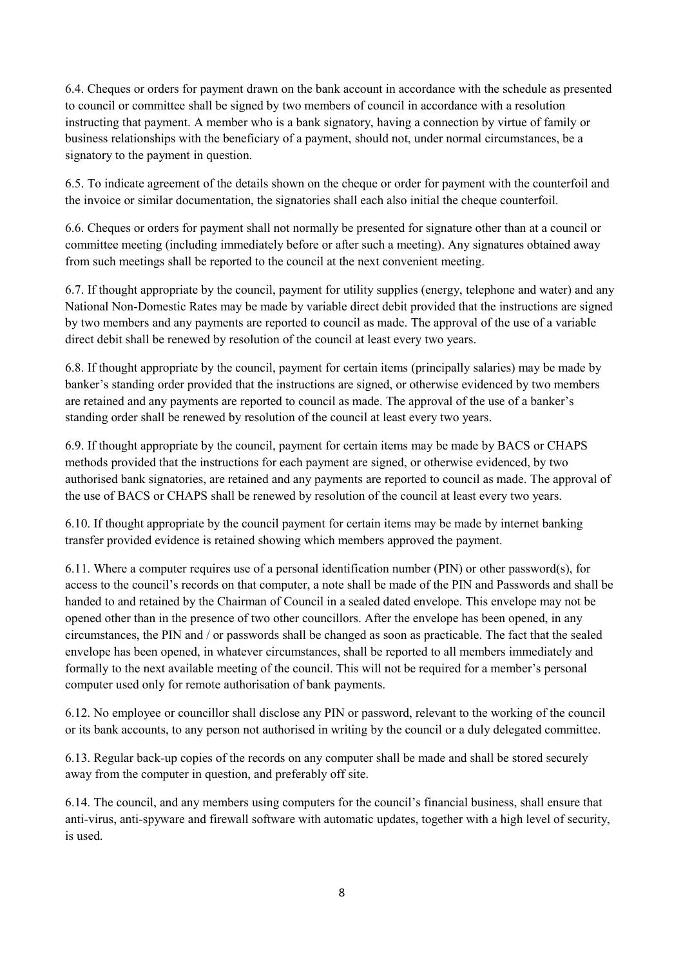6.4. Cheques or orders for payment drawn on the bank account in accordance with the schedule as presented to council or committee shall be signed by two members of council in accordance with a resolution instructing that payment. A member who is a bank signatory, having a connection by virtue of family or business relationships with the beneficiary of a payment, should not, under normal circumstances, be a signatory to the payment in question.

6.5. To indicate agreement of the details shown on the cheque or order for payment with the counterfoil and the invoice or similar documentation, the signatories shall each also initial the cheque counterfoil.

6.6. Cheques or orders for payment shall not normally be presented for signature other than at a council or committee meeting (including immediately before or after such a meeting). Any signatures obtained away from such meetings shall be reported to the council at the next convenient meeting.

6.7. If thought appropriate by the council, payment for utility supplies (energy, telephone and water) and any National Non-Domestic Rates may be made by variable direct debit provided that the instructions are signed by two members and any payments are reported to council as made. The approval of the use of a variable direct debit shall be renewed by resolution of the council at least every two years.

6.8. If thought appropriate by the council, payment for certain items (principally salaries) may be made by banker's standing order provided that the instructions are signed, or otherwise evidenced by two members are retained and any payments are reported to council as made. The approval of the use of a banker's standing order shall be renewed by resolution of the council at least every two years.

6.9. If thought appropriate by the council, payment for certain items may be made by BACS or CHAPS methods provided that the instructions for each payment are signed, or otherwise evidenced, by two authorised bank signatories, are retained and any payments are reported to council as made. The approval of the use of BACS or CHAPS shall be renewed by resolution of the council at least every two years.

6.10. If thought appropriate by the council payment for certain items may be made by internet banking transfer provided evidence is retained showing which members approved the payment.

6.11. Where a computer requires use of a personal identification number (PIN) or other password(s), for access to the council's records on that computer, a note shall be made of the PIN and Passwords and shall be handed to and retained by the Chairman of Council in a sealed dated envelope. This envelope may not be opened other than in the presence of two other councillors. After the envelope has been opened, in any circumstances, the PIN and / or passwords shall be changed as soon as practicable. The fact that the sealed envelope has been opened, in whatever circumstances, shall be reported to all members immediately and formally to the next available meeting of the council. This will not be required for a member's personal computer used only for remote authorisation of bank payments.

6.12. No employee or councillor shall disclose any PIN or password, relevant to the working of the council or its bank accounts, to any person not authorised in writing by the council or a duly delegated committee.

6.13. Regular back-up copies of the records on any computer shall be made and shall be stored securely away from the computer in question, and preferably off site.

6.14. The council, and any members using computers for the council's financial business, shall ensure that anti-virus, anti-spyware and firewall software with automatic updates, together with a high level of security, is used.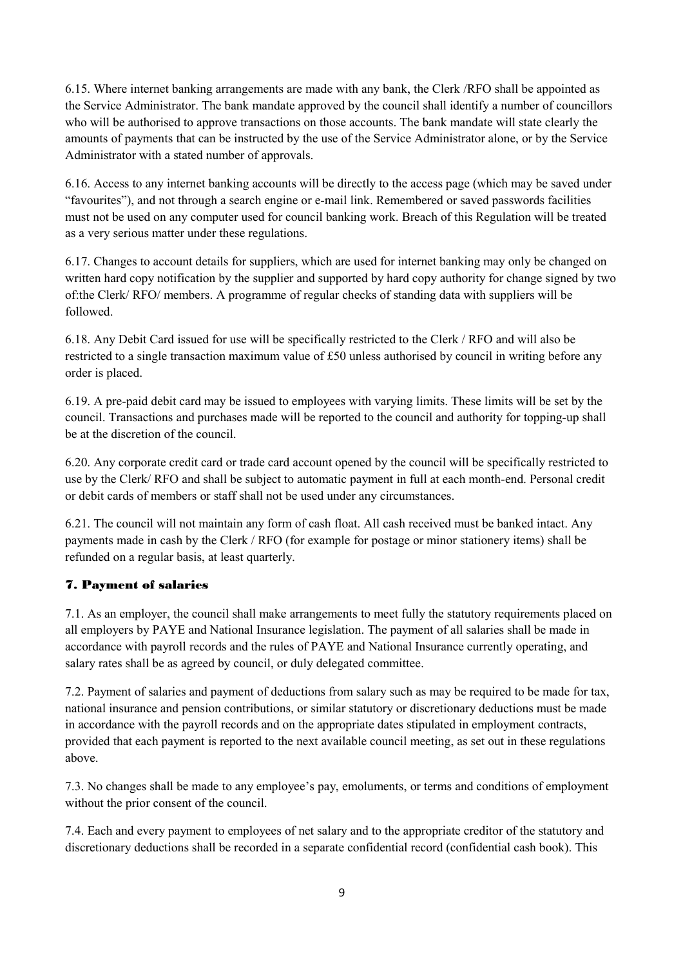6.15. Where internet banking arrangements are made with any bank, the Clerk /RFO shall be appointed as the Service Administrator. The bank mandate approved by the council shall identify a number of councillors who will be authorised to approve transactions on those accounts. The bank mandate will state clearly the amounts of payments that can be instructed by the use of the Service Administrator alone, or by the Service Administrator with a stated number of approvals.

6.16. Access to any internet banking accounts will be directly to the access page (which may be saved under "favourites"), and not through a search engine or e-mail link. Remembered or saved passwords facilities must not be used on any computer used for council banking work. Breach of this Regulation will be treated as a very serious matter under these regulations.

6.17. Changes to account details for suppliers, which are used for internet banking may only be changed on written hard copy notification by the supplier and supported by hard copy authority for change signed by two of:the Clerk/ RFO/ members. A programme of regular checks of standing data with suppliers will be followed.

6.18. Any Debit Card issued for use will be specifically restricted to the Clerk / RFO and will also be restricted to a single transaction maximum value of £50 unless authorised by council in writing before any order is placed.

6.19. A pre-paid debit card may be issued to employees with varying limits. These limits will be set by the council. Transactions and purchases made will be reported to the council and authority for topping-up shall be at the discretion of the council.

6.20. Any corporate credit card or trade card account opened by the council will be specifically restricted to use by the Clerk/ RFO and shall be subject to automatic payment in full at each month-end. Personal credit or debit cards of members or staff shall not be used under any circumstances.

6.21. The council will not maintain any form of cash float. All cash received must be banked intact. Any payments made in cash by the Clerk / RFO (for example for postage or minor stationery items) shall be refunded on a regular basis, at least quarterly.

### 7. Payment of salaries

7.1. As an employer, the council shall make arrangements to meet fully the statutory requirements placed on all employers by PAYE and National Insurance legislation. The payment of all salaries shall be made in accordance with payroll records and the rules of PAYE and National Insurance currently operating, and salary rates shall be as agreed by council, or duly delegated committee.

7.2. Payment of salaries and payment of deductions from salary such as may be required to be made for tax, national insurance and pension contributions, or similar statutory or discretionary deductions must be made in accordance with the payroll records and on the appropriate dates stipulated in employment contracts, provided that each payment is reported to the next available council meeting, as set out in these regulations above.

7.3. No changes shall be made to any employee's pay, emoluments, or terms and conditions of employment without the prior consent of the council.

7.4. Each and every payment to employees of net salary and to the appropriate creditor of the statutory and discretionary deductions shall be recorded in a separate confidential record (confidential cash book). This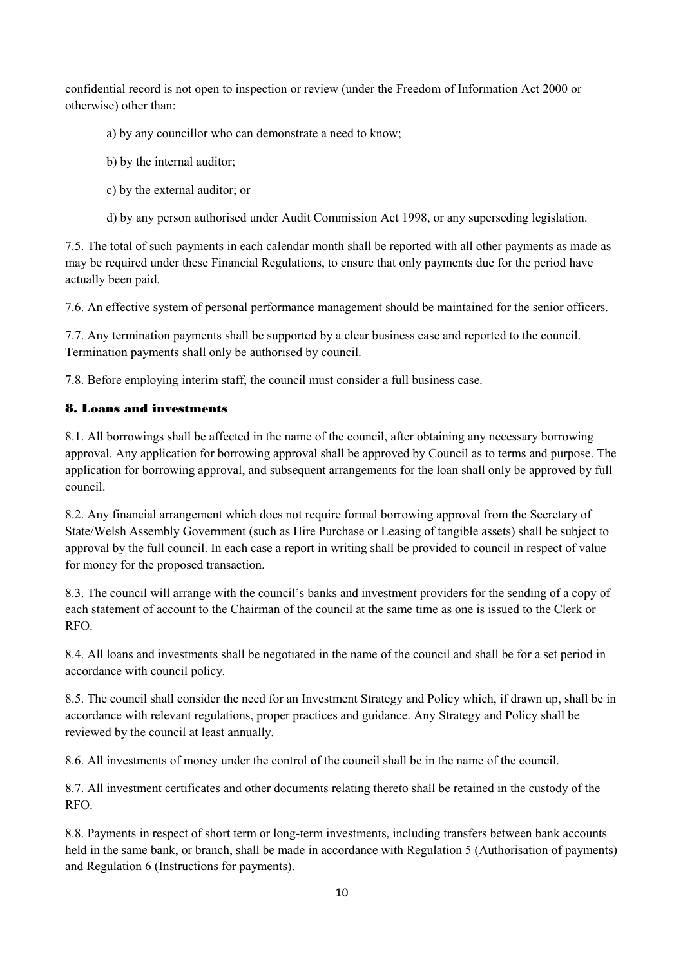confidential record is not open to inspection or review (under the Freedom of Information Act 2000 or otherwise) other than:

- a) by any councillor who can demonstrate a need to know;
- b) by the internal auditor;
- c) by the external auditor; or
- d) by any person authorised under Audit Commission Act 1998, or any superseding legislation.

7.5. The total of such payments in each calendar month shall be reported with all other payments as made as may be required under these Financial Regulations, to ensure that only payments due for the period have actually been paid.

7.6. An effective system of personal performance management should be maintained for the senior officers.

7.7. Any termination payments shall be supported by a clear business case and reported to the council. Termination payments shall only be authorised by council.

7.8. Before employing interim staff, the council must consider a full business case.

### 8. Loans and investments

8.1. All borrowings shall be affected in the name of the council, after obtaining any necessary borrowing approval. Any application for borrowing approval shall be approved by Council as to terms and purpose. The application for borrowing approval, and subsequent arrangements for the loan shall only be approved by full council.

8.2. Any financial arrangement which does not require formal borrowing approval from the Secretary of State/Welsh Assembly Government (such as Hire Purchase or Leasing of tangible assets) shall be subject to approval by the full council. In each case a report in writing shall be provided to council in respect of value for money for the proposed transaction.

8.3. The council will arrange with the council's banks and investment providers for the sending of a copy of each statement of account to the Chairman of the council at the same time as one is issued to the Clerk or RFO.

8.4. All loans and investments shall be negotiated in the name of the council and shall be for a set period in accordance with council policy.

8.5. The council shall consider the need for an Investment Strategy and Policy which, if drawn up, shall be in accordance with relevant regulations, proper practices and guidance. Any Strategy and Policy shall be reviewed by the council at least annually.

8.6. All investments of money under the control of the council shall be in the name of the council.

8.7. All investment certificates and other documents relating thereto shall be retained in the custody of the RFO.

8.8. Payments in respect of short term or long-term investments, including transfers between bank accounts held in the same bank, or branch, shall be made in accordance with Regulation 5 (Authorisation of payments) and Regulation 6 (Instructions for payments).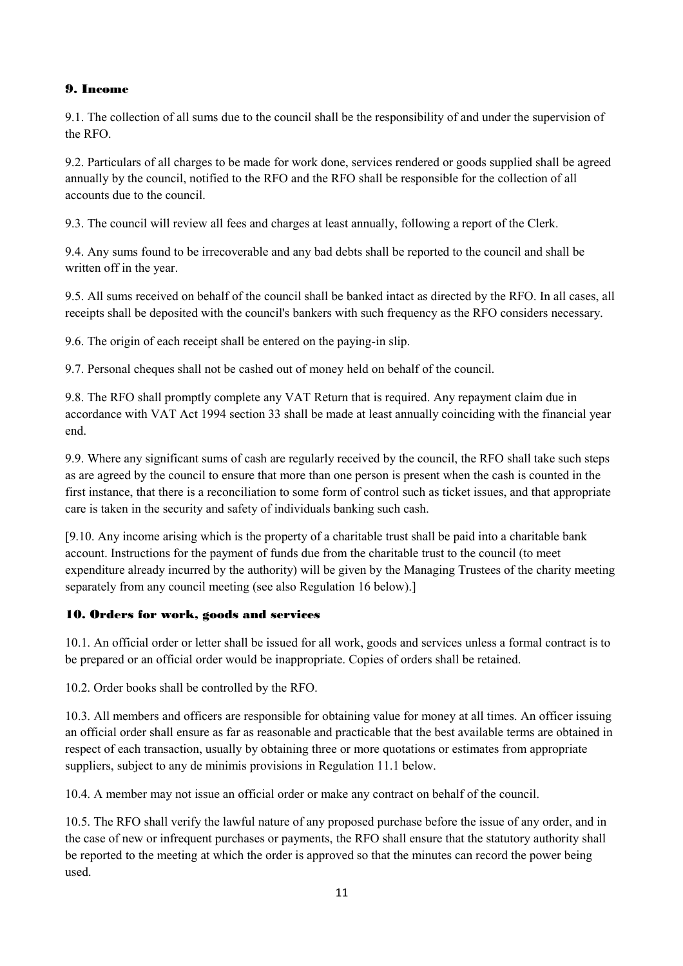#### 9. Income

9.1. The collection of all sums due to the council shall be the responsibility of and under the supervision of the RFO.

9.2. Particulars of all charges to be made for work done, services rendered or goods supplied shall be agreed annually by the council, notified to the RFO and the RFO shall be responsible for the collection of all accounts due to the council.

9.3. The council will review all fees and charges at least annually, following a report of the Clerk.

9.4. Any sums found to be irrecoverable and any bad debts shall be reported to the council and shall be written off in the year.

9.5. All sums received on behalf of the council shall be banked intact as directed by the RFO. In all cases, all receipts shall be deposited with the council's bankers with such frequency as the RFO considers necessary.

9.6. The origin of each receipt shall be entered on the paying-in slip.

9.7. Personal cheques shall not be cashed out of money held on behalf of the council.

9.8. The RFO shall promptly complete any VAT Return that is required. Any repayment claim due in accordance with VAT Act 1994 section 33 shall be made at least annually coinciding with the financial year end.

9.9. Where any significant sums of cash are regularly received by the council, the RFO shall take such steps as are agreed by the council to ensure that more than one person is present when the cash is counted in the first instance, that there is a reconciliation to some form of control such as ticket issues, and that appropriate care is taken in the security and safety of individuals banking such cash.

[9.10. Any income arising which is the property of a charitable trust shall be paid into a charitable bank account. Instructions for the payment of funds due from the charitable trust to the council (to meet expenditure already incurred by the authority) will be given by the Managing Trustees of the charity meeting separately from any council meeting (see also Regulation 16 below).]

### 10. Orders for work, goods and services

10.1. An official order or letter shall be issued for all work, goods and services unless a formal contract is to be prepared or an official order would be inappropriate. Copies of orders shall be retained.

10.2. Order books shall be controlled by the RFO.

10.3. All members and officers are responsible for obtaining value for money at all times. An officer issuing an official order shall ensure as far as reasonable and practicable that the best available terms are obtained in respect of each transaction, usually by obtaining three or more quotations or estimates from appropriate suppliers, subject to any de minimis provisions in Regulation 11.1 below.

10.4. A member may not issue an official order or make any contract on behalf of the council.

10.5. The RFO shall verify the lawful nature of any proposed purchase before the issue of any order, and in the case of new or infrequent purchases or payments, the RFO shall ensure that the statutory authority shall be reported to the meeting at which the order is approved so that the minutes can record the power being used.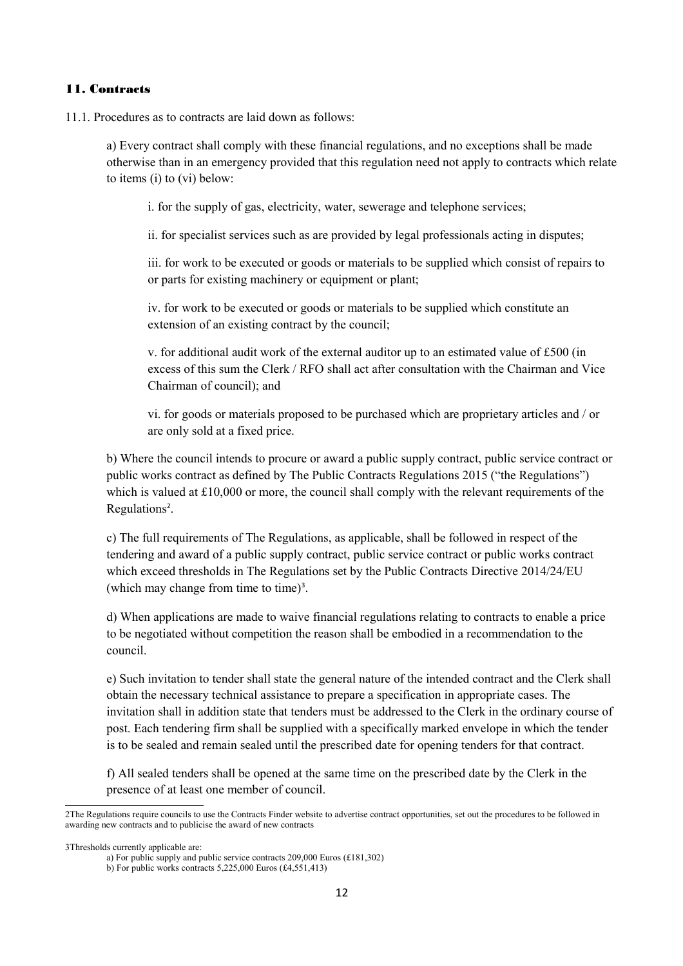#### 11. Contracts

11.1. Procedures as to contracts are laid down as follows:

a) Every contract shall comply with these financial regulations, and no exceptions shall be made otherwise than in an emergency provided that this regulation need not apply to contracts which relate to items (i) to (vi) below:

i. for the supply of gas, electricity, water, sewerage and telephone services;

ii. for specialist services such as are provided by legal professionals acting in disputes;

iii. for work to be executed or goods or materials to be supplied which consist of repairs to or parts for existing machinery or equipment or plant;

iv. for work to be executed or goods or materials to be supplied which constitute an extension of an existing contract by the council;

v. for additional audit work of the external auditor up to an estimated value of £500 (in excess of this sum the Clerk / RFO shall act after consultation with the Chairman and Vice Chairman of council); and

vi. for goods or materials proposed to be purchased which are proprietary articles and / or are only sold at a fixed price.

b) Where the council intends to procure or award a public supply contract, public service contract or public works contract as defined by The Public Contracts Regulations 2015 ("the Regulations") which is valued at £10,000 or more, the council shall comply with the relevant requirements of the Regulations<sup>[2](#page-11-0)</sup>.

c) The full requirements of The Regulations, as applicable, shall be followed in respect of the tendering and award of a public supply contract, public service contract or public works contract which exceed thresholds in The Regulations set by the Public Contracts Directive 2014/24/EU (which may change from time to time)<sup>[3](#page-11-1)</sup>.

d) When applications are made to waive financial regulations relating to contracts to enable a price to be negotiated without competition the reason shall be embodied in a recommendation to the council.

e) Such invitation to tender shall state the general nature of the intended contract and the Clerk shall obtain the necessary technical assistance to prepare a specification in appropriate cases. The invitation shall in addition state that tenders must be addressed to the Clerk in the ordinary course of post. Each tendering firm shall be supplied with a specifically marked envelope in which the tender is to be sealed and remain sealed until the prescribed date for opening tenders for that contract.

f) All sealed tenders shall be opened at the same time on the prescribed date by the Clerk in the presence of at least one member of council.

<span id="page-11-0"></span><sup>2</sup>The Regulations require councils to use the Contracts Finder website to advertise contract opportunities, set out the procedures to be followed in awarding new contracts and to publicise the award of new contracts

<span id="page-11-1"></span><sup>3</sup>Thresholds currently applicable are:

a) For public supply and public service contracts 209,000 Euros (£181,302)

b) For public works contracts 5,225,000 Euros (£4,551,413)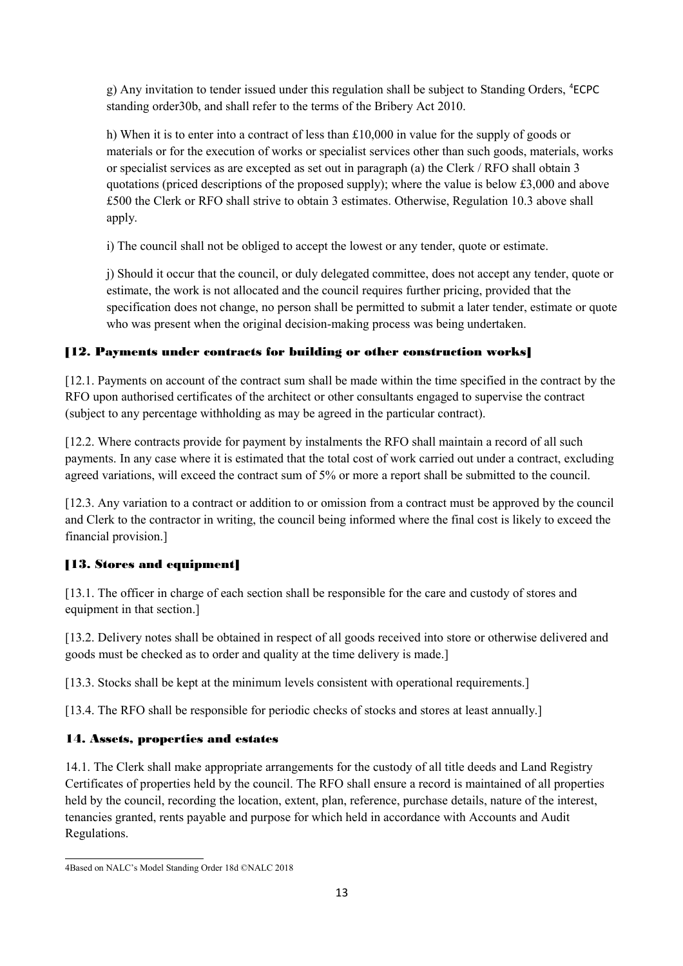g) Any invitation to tender issued under this regulation shall be subject to Standing Orders, <sup>[4](#page-12-0)</sup>ECPC standing order30b, and shall refer to the terms of the Bribery Act 2010.

h) When it is to enter into a contract of less than £10,000 in value for the supply of goods or materials or for the execution of works or specialist services other than such goods, materials, works or specialist services as are excepted as set out in paragraph (a) the Clerk / RFO shall obtain 3 quotations (priced descriptions of the proposed supply); where the value is below £3,000 and above £500 the Clerk or RFO shall strive to obtain 3 estimates. Otherwise, Regulation 10.3 above shall apply.

i) The council shall not be obliged to accept the lowest or any tender, quote or estimate.

j) Should it occur that the council, or duly delegated committee, does not accept any tender, quote or estimate, the work is not allocated and the council requires further pricing, provided that the specification does not change, no person shall be permitted to submit a later tender, estimate or quote who was present when the original decision-making process was being undertaken.

### [12. Payments under contracts for building or other construction works]

[12.1. Payments on account of the contract sum shall be made within the time specified in the contract by the RFO upon authorised certificates of the architect or other consultants engaged to supervise the contract (subject to any percentage withholding as may be agreed in the particular contract).

[12.2. Where contracts provide for payment by instalments the RFO shall maintain a record of all such payments. In any case where it is estimated that the total cost of work carried out under a contract, excluding agreed variations, will exceed the contract sum of 5% or more a report shall be submitted to the council.

[12.3. Any variation to a contract or addition to or omission from a contract must be approved by the council and Clerk to the contractor in writing, the council being informed where the final cost is likely to exceed the financial provision.]

### [13. Stores and equipment]

[13.1. The officer in charge of each section shall be responsible for the care and custody of stores and equipment in that section.]

[13.2. Delivery notes shall be obtained in respect of all goods received into store or otherwise delivered and goods must be checked as to order and quality at the time delivery is made.]

[13.3. Stocks shall be kept at the minimum levels consistent with operational requirements.]

[13.4. The RFO shall be responsible for periodic checks of stocks and stores at least annually.]

### 14. Assets, properties and estates

14.1. The Clerk shall make appropriate arrangements for the custody of all title deeds and Land Registry Certificates of properties held by the council. The RFO shall ensure a record is maintained of all properties held by the council, recording the location, extent, plan, reference, purchase details, nature of the interest, tenancies granted, rents payable and purpose for which held in accordance with Accounts and Audit Regulations.

<span id="page-12-0"></span><sup>4</sup>Based on NALC's Model Standing Order 18d ©NALC 2018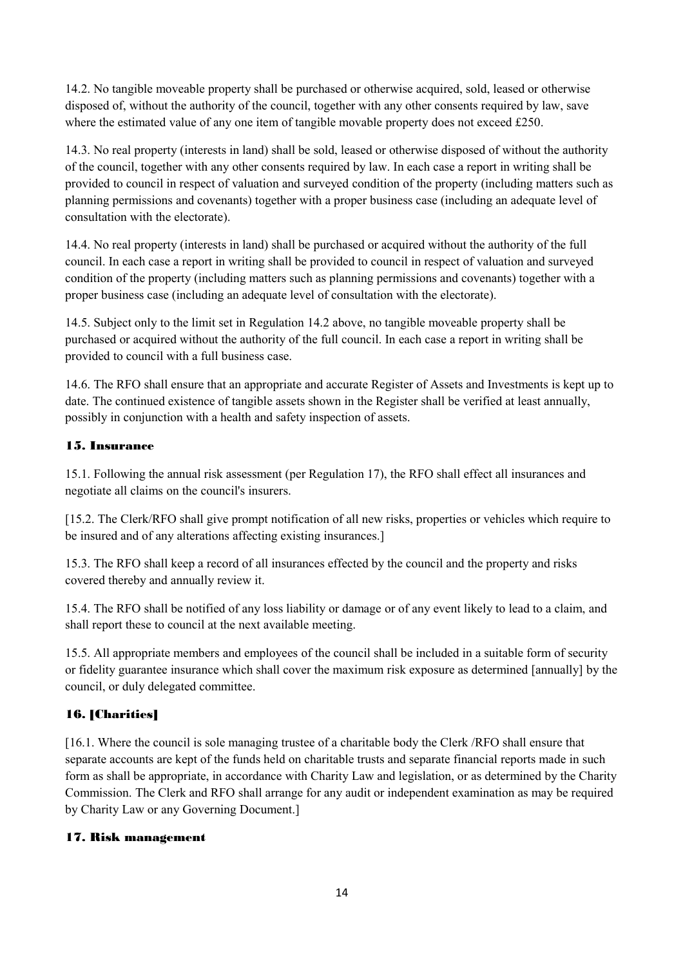14.2. No tangible moveable property shall be purchased or otherwise acquired, sold, leased or otherwise disposed of, without the authority of the council, together with any other consents required by law, save where the estimated value of any one item of tangible movable property does not exceed £250.

14.3. No real property (interests in land) shall be sold, leased or otherwise disposed of without the authority of the council, together with any other consents required by law. In each case a report in writing shall be provided to council in respect of valuation and surveyed condition of the property (including matters such as planning permissions and covenants) together with a proper business case (including an adequate level of consultation with the electorate).

14.4. No real property (interests in land) shall be purchased or acquired without the authority of the full council. In each case a report in writing shall be provided to council in respect of valuation and surveyed condition of the property (including matters such as planning permissions and covenants) together with a proper business case (including an adequate level of consultation with the electorate).

14.5. Subject only to the limit set in Regulation 14.2 above, no tangible moveable property shall be purchased or acquired without the authority of the full council. In each case a report in writing shall be provided to council with a full business case.

14.6. The RFO shall ensure that an appropriate and accurate Register of Assets and Investments is kept up to date. The continued existence of tangible assets shown in the Register shall be verified at least annually, possibly in conjunction with a health and safety inspection of assets.

### 15. Insurance

15.1. Following the annual risk assessment (per Regulation 17), the RFO shall effect all insurances and negotiate all claims on the council's insurers.

[15.2. The Clerk/RFO shall give prompt notification of all new risks, properties or vehicles which require to be insured and of any alterations affecting existing insurances.]

15.3. The RFO shall keep a record of all insurances effected by the council and the property and risks covered thereby and annually review it.

15.4. The RFO shall be notified of any loss liability or damage or of any event likely to lead to a claim, and shall report these to council at the next available meeting.

15.5. All appropriate members and employees of the council shall be included in a suitable form of security or fidelity guarantee insurance which shall cover the maximum risk exposure as determined [annually] by the council, or duly delegated committee.

### 16. [Charities]

[16.1. Where the council is sole managing trustee of a charitable body the Clerk /RFO shall ensure that separate accounts are kept of the funds held on charitable trusts and separate financial reports made in such form as shall be appropriate, in accordance with Charity Law and legislation, or as determined by the Charity Commission. The Clerk and RFO shall arrange for any audit or independent examination as may be required by Charity Law or any Governing Document.]

#### 17. Risk management